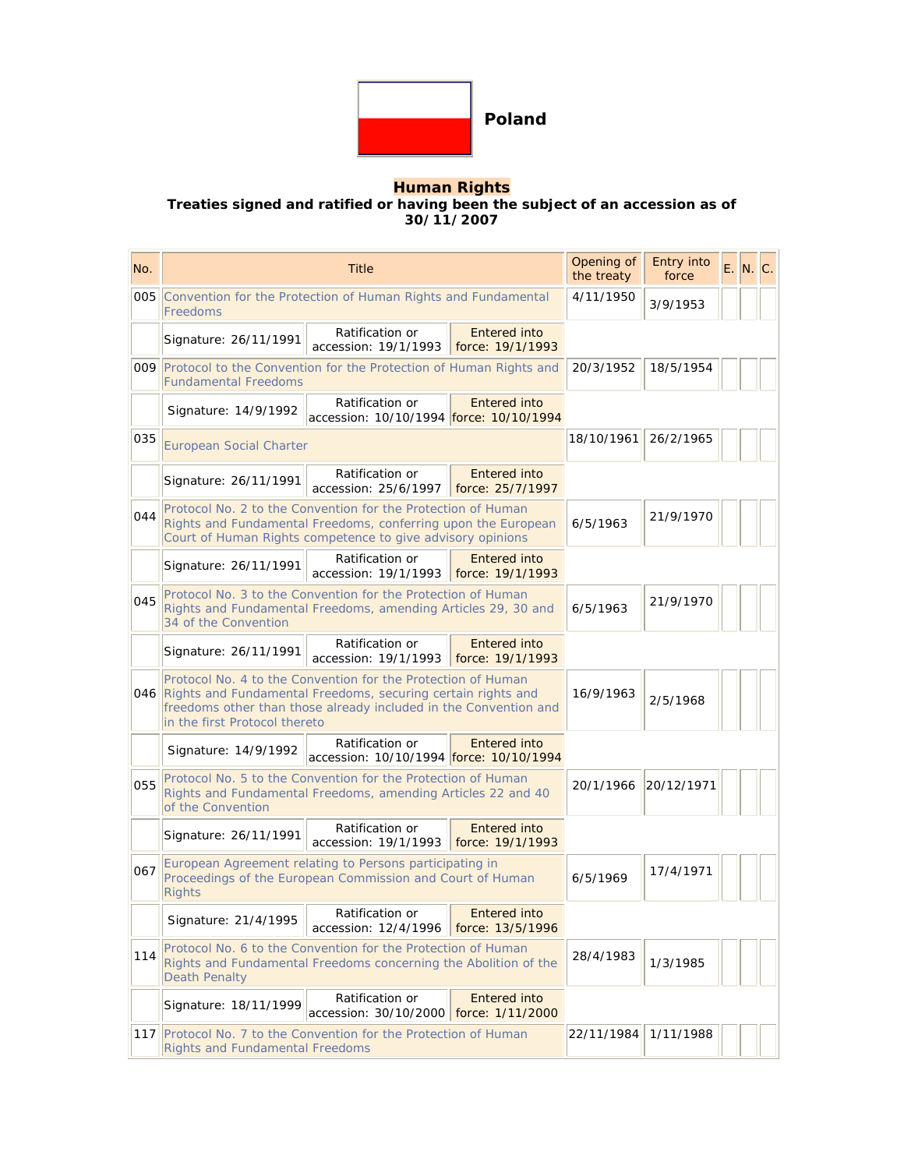

## **Human Rights Treaties signed and ratified or having been the subject of an accession as of 30/11/2007**

| No. | <b>Title</b>                                                                                                                                                                                                                          |                                                                                                                              |                                         | Opening of<br>the treaty | Entry into<br>force |  | E. N. C. |
|-----|---------------------------------------------------------------------------------------------------------------------------------------------------------------------------------------------------------------------------------------|------------------------------------------------------------------------------------------------------------------------------|-----------------------------------------|--------------------------|---------------------|--|----------|
|     | 005 Convention for the Protection of Human Rights and Fundamental<br>Freedoms                                                                                                                                                         |                                                                                                                              |                                         | 4/11/1950                | 3/9/1953            |  |          |
|     | Signature: 26/11/1991                                                                                                                                                                                                                 | Ratification or<br>accession: 19/1/1993                                                                                      | <b>Entered into</b><br>force: 19/1/1993 |                          |                     |  |          |
|     | 009 Protocol to the Convention for the Protection of Human Rights and<br><b>Fundamental Freedoms</b>                                                                                                                                  |                                                                                                                              |                                         | 20/3/1952                | 18/5/1954           |  |          |
|     | Signature: 14/9/1992                                                                                                                                                                                                                  | Ratification or<br>accession: 10/10/1994 force: 10/10/1994                                                                   | Entered into                            |                          |                     |  |          |
| 035 | European Social Charter                                                                                                                                                                                                               |                                                                                                                              |                                         | 18/10/1961               | 26/2/1965           |  |          |
|     | Signature: 26/11/1991                                                                                                                                                                                                                 | Ratification or<br>accession: 25/6/1997                                                                                      | <b>Entered into</b><br>force: 25/7/1997 |                          |                     |  |          |
| 044 | Protocol No. 2 to the Convention for the Protection of Human<br>Rights and Fundamental Freedoms, conferring upon the European<br>Court of Human Rights competence to give advisory opinions                                           |                                                                                                                              |                                         | 6/5/1963                 | 21/9/1970           |  |          |
|     | Signature: 26/11/1991                                                                                                                                                                                                                 | Ratification or<br>accession: 19/1/1993                                                                                      | <b>Entered into</b><br>force: 19/1/1993 |                          |                     |  |          |
| 045 | Protocol No. 3 to the Convention for the Protection of Human<br>Rights and Fundamental Freedoms, amending Articles 29, 30 and<br>34 of the Convention                                                                                 |                                                                                                                              |                                         | 6/5/1963                 | 21/9/1970           |  |          |
|     | Signature: 26/11/1991                                                                                                                                                                                                                 | Ratification or<br>accession: 19/1/1993                                                                                      | <b>Entered into</b><br>force: 19/1/1993 |                          |                     |  |          |
|     | Protocol No. 4 to the Convention for the Protection of Human<br>046 Rights and Fundamental Freedoms, securing certain rights and<br>freedoms other than those already included in the Convention and<br>in the first Protocol thereto |                                                                                                                              |                                         | 16/9/1963                | 2/5/1968            |  |          |
|     | Signature: 14/9/1992                                                                                                                                                                                                                  | Ratification or<br>accession: 10/10/1994 force: 10/10/1994                                                                   | <b>Entered into</b>                     |                          |                     |  |          |
| 055 | of the Convention                                                                                                                                                                                                                     | Protocol No. 5 to the Convention for the Protection of Human<br>Rights and Fundamental Freedoms, amending Articles 22 and 40 |                                         |                          | 20/12/1971          |  |          |
|     | Signature: 26/11/1991                                                                                                                                                                                                                 | Ratification or<br>accession: 19/1/1993                                                                                      | <b>Entered into</b><br>force: 19/1/1993 |                          |                     |  |          |
| 067 | European Agreement relating to Persons participating in<br>Proceedings of the European Commission and Court of Human<br><b>Rights</b>                                                                                                 |                                                                                                                              |                                         | 6/5/1969                 | 17/4/1971           |  |          |
|     | Signature: 21/4/1995                                                                                                                                                                                                                  | Ratification or<br>accession: 12/4/1996   force: 13/5/1996                                                                   | <b>Entered into</b>                     |                          |                     |  |          |
| 114 | Protocol No. 6 to the Convention for the Protection of Human<br>Rights and Fundamental Freedoms concerning the Abolition of the<br><b>Death Penalty</b>                                                                               |                                                                                                                              |                                         | 28/4/1983                | 1/3/1985            |  |          |
|     | Signature: 18/11/1999                                                                                                                                                                                                                 | Ratification or<br><b>Entered into</b><br>accession: 30/10/2000 force: 1/11/2000                                             |                                         |                          |                     |  |          |
|     | 117 Protocol No. 7 to the Convention for the Protection of Human<br><b>Rights and Fundamental Freedoms</b>                                                                                                                            |                                                                                                                              |                                         | 22/11/1984               | 1/11/1988           |  |          |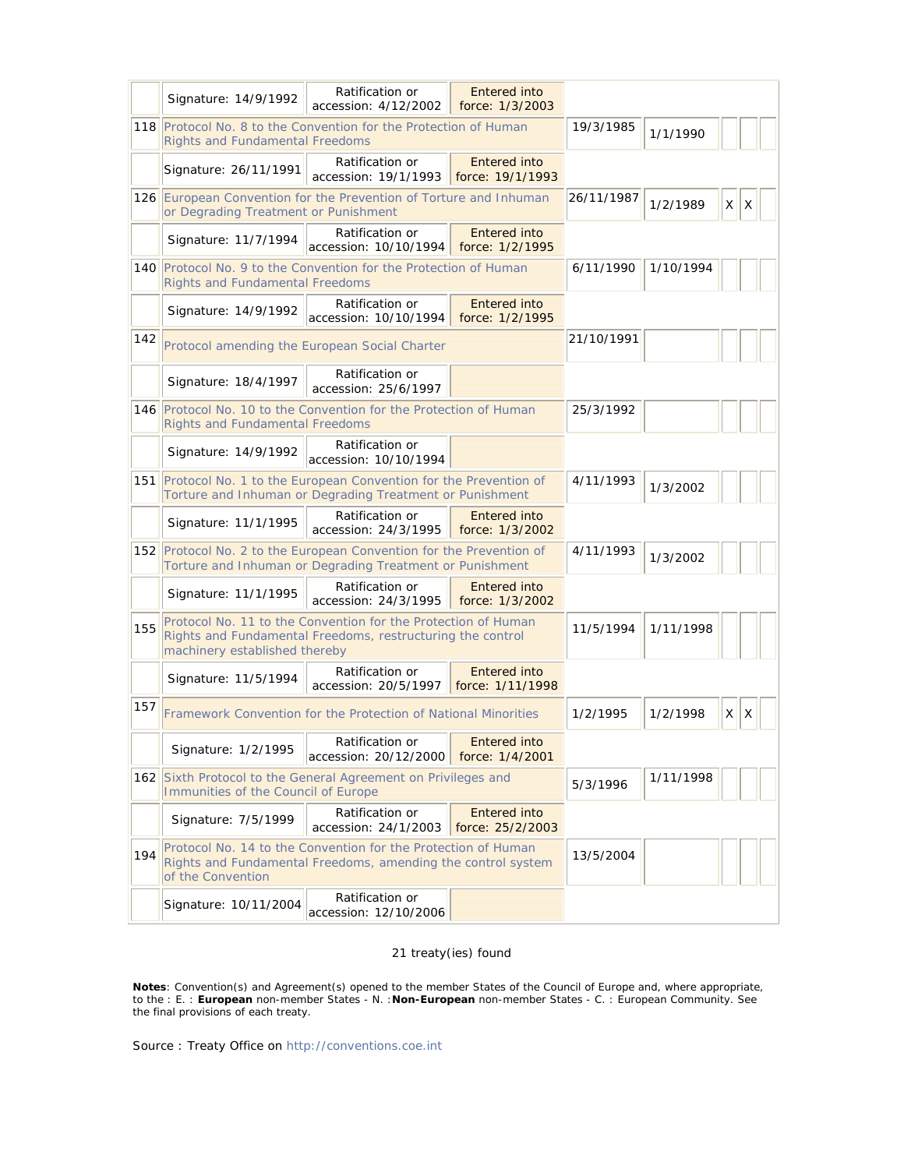|     | Signature: 14/9/1992                                                                                                                                         | Ratification or<br>accession: 4/12/2002                                                                                         | Entered into<br>force: 1/3/2003         |            |           |          |   |  |
|-----|--------------------------------------------------------------------------------------------------------------------------------------------------------------|---------------------------------------------------------------------------------------------------------------------------------|-----------------------------------------|------------|-----------|----------|---|--|
|     | <b>Rights and Fundamental Freedoms</b>                                                                                                                       | 118 Protocol No. 8 to the Convention for the Protection of Human                                                                |                                         | 19/3/1985  | 1/1/1990  |          |   |  |
|     | Signature: 26/11/1991                                                                                                                                        | Ratification or<br>accession: 19/1/1993                                                                                         | <b>Entered into</b><br>force: 19/1/1993 |            |           |          |   |  |
|     | or Degrading Treatment or Punishment                                                                                                                         | 126 European Convention for the Prevention of Torture and Inhuman                                                               |                                         | 26/11/1987 | 1/2/1989  | $\times$ | X |  |
|     | Signature: 11/7/1994                                                                                                                                         | Ratification or<br>accession: 10/10/1994                                                                                        | <b>Entered into</b><br>force: 1/2/1995  |            |           |          |   |  |
|     | 140 Protocol No. 9 to the Convention for the Protection of Human<br><b>Rights and Fundamental Freedoms</b>                                                   |                                                                                                                                 |                                         | 6/11/1990  | 1/10/1994 |          |   |  |
|     | Signature: 14/9/1992                                                                                                                                         | Ratification or<br>accession: 10/10/1994                                                                                        | <b>Entered into</b><br>force: 1/2/1995  |            |           |          |   |  |
| 142 | Protocol amending the European Social Charter                                                                                                                |                                                                                                                                 |                                         | 21/10/1991 |           |          |   |  |
|     | Signature: 18/4/1997                                                                                                                                         | Ratification or<br>accession: 25/6/1997                                                                                         |                                         |            |           |          |   |  |
|     | 146 Protocol No. 10 to the Convention for the Protection of Human<br><b>Rights and Fundamental Freedoms</b>                                                  |                                                                                                                                 |                                         | 25/3/1992  |           |          |   |  |
|     | Signature: 14/9/1992                                                                                                                                         | Ratification or<br>accession: 10/10/1994                                                                                        |                                         |            |           |          |   |  |
| 151 |                                                                                                                                                              | Protocol No. 1 to the European Convention for the Prevention of<br>Torture and Inhuman or Degrading Treatment or Punishment     |                                         | 4/11/1993  | 1/3/2002  |          |   |  |
|     | Signature: 11/1/1995                                                                                                                                         | Ratification or<br>accession: 24/3/1995                                                                                         | <b>Entered into</b><br>force: 1/3/2002  |            |           |          |   |  |
|     |                                                                                                                                                              | 152 Protocol No. 2 to the European Convention for the Prevention of<br>Torture and Inhuman or Degrading Treatment or Punishment |                                         | 4/11/1993  | 1/3/2002  |          |   |  |
|     | Signature: 11/1/1995                                                                                                                                         | Ratification or<br>accession: 24/3/1995                                                                                         | <b>Entered into</b><br>force: 1/3/2002  |            |           |          |   |  |
| 155 | Protocol No. 11 to the Convention for the Protection of Human<br>Rights and Fundamental Freedoms, restructuring the control<br>machinery established thereby |                                                                                                                                 |                                         | 11/5/1994  | 1/11/1998 |          |   |  |
|     | Signature: 11/5/1994                                                                                                                                         | Ratification or<br>accession: 20/5/1997                                                                                         | <b>Entered into</b><br>force: 1/11/1998 |            |           |          |   |  |
| 157 |                                                                                                                                                              | Framework Convention for the Protection of National Minorities                                                                  |                                         | 1/2/1995   | 1/2/1998  | Χ        | Χ |  |
|     | Signature: 1/2/1995                                                                                                                                          | Ratification or<br>accession: 20/12/2000                                                                                        | <b>Entered into</b><br>force: 1/4/2001  |            |           |          |   |  |
|     | 162 Sixth Protocol to the General Agreement on Privileges and<br>Immunities of the Council of Europe                                                         |                                                                                                                                 |                                         | 5/3/1996   | 1/11/1998 |          |   |  |
|     | Signature: 7/5/1999                                                                                                                                          | Ratification or<br>accession: 24/1/2003                                                                                         | <b>Entered into</b><br>force: 25/2/2003 |            |           |          |   |  |
| 194 | Protocol No. 14 to the Convention for the Protection of Human<br>Rights and Fundamental Freedoms, amending the control system<br>of the Convention           |                                                                                                                                 |                                         | 13/5/2004  |           |          |   |  |
|     | Signature: 10/11/2004                                                                                                                                        | Ratification or<br>accession: 12/10/2006                                                                                        |                                         |            |           |          |   |  |

## 21 treaty(ies) found

**Notes**: Convention(s) and Agreement(s) opened to the member States of the Council of Europe and, where appropriate, to the : E. : **European** non-member States - N. :**Non-European** non-member States - C. : European Community. See the final provisions of each treaty.

Source : Treaty Office on http://conventions.coe.int